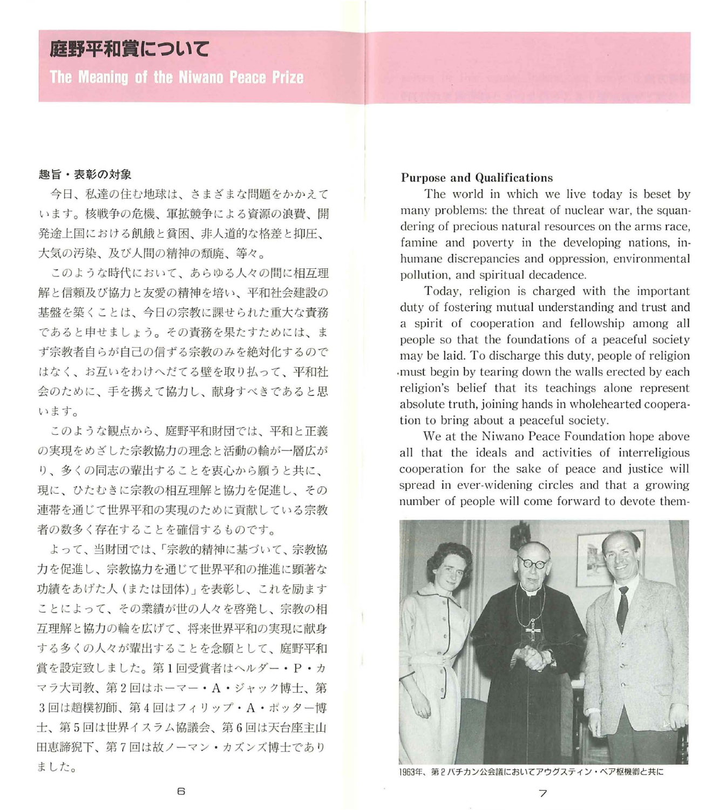# 庭野平和賞について

The Meaning of the Niwano Peace Prize

#### 趣旨・表彰の対象

今日、私達の住む地球は、さまざまな問題をかかえて います。核戦争の危機、軍拡競争による資源の浪費、開 発途上国における飢餓と貧困、非人道的な格差と抑圧、 大気の汚染、及び人間の精神の預廃、等々。

このような時代において、あらゆる人々の間に相互理 解と信頼及び協力と友愛の精神を培い、平和社会建設の 基盤を築くことは、今日の宗教に課せられた重大な責務 であると申せましょう。その責務を果たすためには ず宗教者自らが自己の信ずる宗教のみを絶対化するので はなく、お互いをわけへだてる壁を取り払って、平和社 会のために、手を携えて協力し、献身すべきであると思 います。

このような観点から、庭野平和財団では、平和と正義 の実現をめざした宗教協力の理念と活動の輪が一層広が り、多くの同志の輩出することを衷心から願うと共に、 現に、ひたむきに宗教の相互理解と協力を促進し、その 連帯を通じて世界平和の実現のために貢献している宗教 者の数多く存在することを確信するものです。

よって、当財団では、「宗教的精神に基づいて、宗教協 力を促進し、宗教協力を通じて世界平和の推進に顕著な 功績をあげた人 (または団体)」を表彰し、これを励ます ことによって、その業績が世の人々を啓発し、宗教の相 互理解と協力の輸を広げて、将来世界平和の実現に献身 する多くの人々が輩出することを念願として、庭野平和 賞を設定致しました。第1回受賞者はヘルダー·P·カ マラ大司教、第2回はホーマー·A·ジャック博士、第 3回は趙樸初師、第4回はフィリップ·A·ポッター博 士、第 5回は世界イスラム協議会、第 6回は天台座主山 田恵諦狙下、第 7回は故ノーマン カズンズ博士であり ました。

## Purpose and Qualifications

The world in which we live today is beset by many problems: the threat of nuclear war, the squan dering of precious natural resources on the arms race, famine and poverty in the developing nations, inhumane discrepancies and oppression, environmental pollution, and spiritual decadence.

Today, religion is charged with the important duty of fostering mutual understanding and trust and a spirit of cooperation and fellowship among all people so that the foundations of a peaceful society may be laid. To discharge this duty, people of religion .must begin by tearing down the wals erected by each religion's belief that its teachings alone represent absolute truth, joining hands in wholehearted coopera tion to bring about a peaceful society.

We at the Niwano Peace Foundation hope above all that the ideals and activities of interreligious cooperation for the sake of peace and justice will spread in ever-widening circles and that a growing number of people will come forward to devote them-



1963年、第2バチカン公会議においてアウグスティン・ベア枢機卿と共に

6